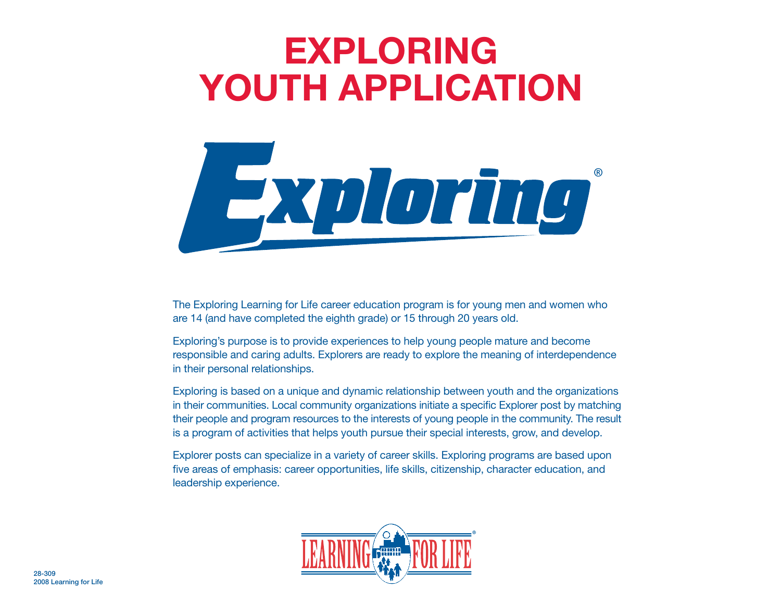## **EXPLORING Youth Application**



The Exploring Learning for Life career education program is for young men and women who are 14 (and have completed the eighth grade) or 15 through 20 years old.

Exploring's purpose is to provide experiences to help young people mature and become responsible and caring adults. Explorers are ready to explore the meaning of interdependence in their personal relationships.

Exploring is based on a unique and dynamic relationship between youth and the organizations in their communities. Local community organizations initiate a specific Explorer post by matching their people and program resources to the interests of young people in the community. The result is a program of activities that helps youth pursue their special interests, grow, and develop.

Explorer posts can specialize in a variety of career skills. Exploring programs are based upon five areas of emphasis: career opportunities, life skills, citizenship, character education, and leadership experience.

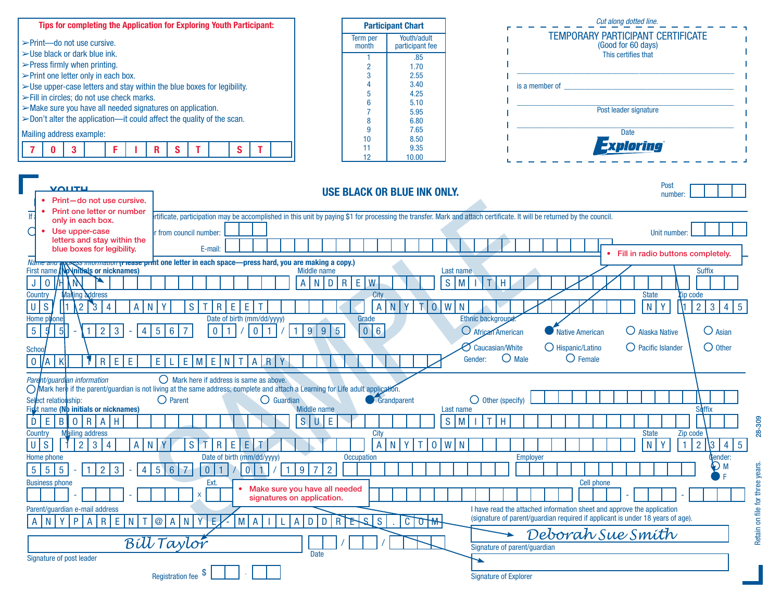|                                                                              |  |  |  |  |                                                           |  |  |  |                                                                             | <b>Tips for completing the Application for Exploring Youth Participant:</b> |  |
|------------------------------------------------------------------------------|--|--|--|--|-----------------------------------------------------------|--|--|--|-----------------------------------------------------------------------------|-----------------------------------------------------------------------------|--|
| $\triangleright$ Print—do not use cursive.                                   |  |  |  |  |                                                           |  |  |  |                                                                             |                                                                             |  |
| $\geq$ Use black or dark blue ink.                                           |  |  |  |  |                                                           |  |  |  |                                                                             |                                                                             |  |
| $\triangleright$ Press firmly when printing.                                 |  |  |  |  |                                                           |  |  |  |                                                                             |                                                                             |  |
| $\triangleright$ Print one letter only in each box.                          |  |  |  |  |                                                           |  |  |  |                                                                             |                                                                             |  |
| $\geq$ Use upper-case letters and stay within the blue boxes for legibility. |  |  |  |  |                                                           |  |  |  |                                                                             |                                                                             |  |
| $\blacktriangleright$ Fill in circles; do not use check marks.               |  |  |  |  |                                                           |  |  |  |                                                                             |                                                                             |  |
|                                                                              |  |  |  |  | >Make sure you have all needed signatures on application. |  |  |  |                                                                             |                                                                             |  |
|                                                                              |  |  |  |  |                                                           |  |  |  | $\geq$ Don't alter the application—it could affect the quality of the scan. |                                                                             |  |
|                                                                              |  |  |  |  |                                                           |  |  |  |                                                                             |                                                                             |  |
| Mailing address example:                                                     |  |  |  |  |                                                           |  |  |  |                                                                             |                                                                             |  |
|                                                                              |  |  |  |  |                                                           |  |  |  |                                                                             |                                                                             |  |

|                   | <b>Participant Chart</b>       |  |  |  |  |  |  |
|-------------------|--------------------------------|--|--|--|--|--|--|
| Term per<br>month | Youth/adult<br>participant fee |  |  |  |  |  |  |
|                   | .85                            |  |  |  |  |  |  |
| 2                 | 1.70                           |  |  |  |  |  |  |
| 3                 | 2.55                           |  |  |  |  |  |  |
| 4                 | 3.40                           |  |  |  |  |  |  |
| 5                 | 4.25                           |  |  |  |  |  |  |
| 6                 | 5.10                           |  |  |  |  |  |  |
| 7                 | 5.95                           |  |  |  |  |  |  |
| 8                 | 6.80                           |  |  |  |  |  |  |
| 9                 | 7.65                           |  |  |  |  |  |  |
| 10                | 8.50                           |  |  |  |  |  |  |
| 11                | 9.35                           |  |  |  |  |  |  |
| 12                | 10.00                          |  |  |  |  |  |  |

|                | Cut along dotted line.<br>TEMPORARY PARTICIPANT CERTIFICATE |
|----------------|-------------------------------------------------------------|
|                | (Good for 60 days)<br>This certifies that                   |
|                |                                                             |
| is a member of |                                                             |
|                |                                                             |
|                |                                                             |
|                | Post leader signature                                       |
|                |                                                             |
|                | <b>Date</b><br><i><b>Exploring</b></i>                      |

| <b>VOLITLE</b><br>Print-do not use cursive.                                                                                | <b>USE BLACK OR BLUE INK ONLY.</b>                                                                                                                                                                                                | Post<br>number                                                                           |
|----------------------------------------------------------------------------------------------------------------------------|-----------------------------------------------------------------------------------------------------------------------------------------------------------------------------------------------------------------------------------|------------------------------------------------------------------------------------------|
| Print one letter or number<br>If                                                                                           | rtificate, participation may be accomplished in this unit by paying \$1 for processing the transfer. Mark and attach certificate. It will be returned by the council.                                                             |                                                                                          |
| only in each box.<br>C<br>Use upper-case                                                                                   | r from council number:                                                                                                                                                                                                            | Unit number:                                                                             |
| letters and stay within the                                                                                                |                                                                                                                                                                                                                                   |                                                                                          |
| blue boxes for legibility.                                                                                                 | E-mail:                                                                                                                                                                                                                           | • Fill in radio buttons completely.                                                      |
|                                                                                                                            | Name and awwess information <b>trease print one letter in each space—press hard, you are making a copy.</b> )<br>First name <b>(Novnitials or nicknames)</b> Middle name<br>Last name                                             | <b>Suffix</b>                                                                            |
| $\mathbf{M}$<br>J   0                                                                                                      | R<br>E<br>S<br><b>H</b><br>D<br>W<br>N<br>A<br>M                                                                                                                                                                                  |                                                                                          |
| <b>Malling address</b><br>Country<br>$\vert S \vert$<br>  U  <br>$\sqrt{2}$<br>უ<br>$\boldsymbol{\Lambda}$<br>$\mathsf{A}$ | City<br>A<br>W<br>$\mathbf{0}$<br>Е<br>Ε<br>N<br><sub>S</sub><br>R                                                                                                                                                                | <b>State</b><br><b>Zip code</b><br>Y<br>$\overline{3}$<br>2 <br>$\mathsf{N}$<br>l 4<br>5 |
| Home pl<br>none                                                                                                            | Date of birth (mm/dd/yyyy)<br><b>Ethnic backgroupe</b><br>Grade                                                                                                                                                                   |                                                                                          |
| $\overline{2}$<br>$\mathbf{3}$<br>$\overline{5}$<br>5<br>5<br>4 <sup>1</sup>                                               | 06<br>5<br>$6\phantom{1}6$<br>$\overline{7}$<br>$\bf{0}$<br>$\bf{0}$<br>9<br>9<br>$5\overline{5}$<br>O African American<br>Native American                                                                                        | $O$ Asian<br>O Alaska Native                                                             |
| <b>Schoo</b>                                                                                                               | $\mathfrak O$ Caucasian/White<br>O Hispanic/Latino                                                                                                                                                                                | $\bigcirc$ Other<br>$\bigcirc$ Pacific Islander                                          |
| $\mathsf{R}$<br>l e I<br>$0$ $\overline{A}$<br>E                                                                           | $\bigcirc$ Female<br>$\bigcirc$ Male<br>Gender:<br>E<br>E.<br>E<br>$\mathbf{R}$<br>N<br>M<br>$\mathsf{A}$                                                                                                                         |                                                                                          |
| Parent/guard an information                                                                                                | $\bigcirc$ Mark here if address is same as above.                                                                                                                                                                                 |                                                                                          |
| Select relationship:                                                                                                       | $\bigcirc$ Mark here if the parent/guardian is not living at the same address; complete and attach a Learning for Life adult application.<br>$\bigcirc$ Parent<br>$\bigcirc$ Guardian<br>$\bigcirc$ Other (specify<br>Grandparent |                                                                                          |
| First name (Np initials or nicknames)                                                                                      | <b>Middle name</b><br>Last name                                                                                                                                                                                                   | <b>Suffix</b>                                                                            |
| l El<br>0 R<br>B<br>H<br>A<br>D                                                                                            | <sub>S</sub><br>$S_{\cdot}$<br>Ε<br>н<br>U                                                                                                                                                                                        | 28-309                                                                                   |
| <b>Mailing address</b><br>Country<br> U S<br>3<br>$\overline{2}$<br>$A \mid N$<br>Δ                                        | City<br>$\overline{A}$<br>V<br>$\mathsf{w}$<br>Ñ<br>S<br>E<br>N<br>$\mathbf 0$<br>R<br>N                                                                                                                                          | <b>State</b><br>Zip code<br>v<br>13<br>N<br>5                                            |
| Home phone                                                                                                                 | E<br>Date of birth (mm/dd/yyyy)<br><b>Occupation</b><br>Employer                                                                                                                                                                  | $2^{\circ}$<br>$\overline{4}$<br>Gender:                                                 |
| $\overline{5}$<br>5<br>$\mathbf{3}$<br>$\overline{2}$<br>5<br>4                                                            | $\overline{7}$<br>9 <sup>°</sup><br>$\overline{2}$<br>6 <sup>°</sup><br>$\overline{7}$<br>5 <sup>1</sup><br>$\bf{0}$<br>$\overline{\mathbf{1}}$<br>$\mathbf{0}$                                                                   | $\bigcirc$ M                                                                             |
| <b>Business phone</b>                                                                                                      | Ext.<br>Cell phone<br>Make sure you have all needed                                                                                                                                                                               | Retain on file for three years                                                           |
|                                                                                                                            | signatures on application.                                                                                                                                                                                                        |                                                                                          |
| Parent/quardian e-mail address                                                                                             | I have read the attached information sheet and approve the application<br>(signature of parent/guardian required if applicant is under 18 years of age).                                                                          |                                                                                          |
| P<br>E<br>$\mathsf R$<br>A<br>N                                                                                            | E.<br>ज₩<br>$\mathsf{N}$<br>S.<br>S<br>@<br>Y<br>M   A<br>D<br>$\overline{C}$<br>A<br>l D<br>$\mathsf{R}$<br>A<br>Ē                                                                                                               |                                                                                          |
|                                                                                                                            | Deborah Sue Smith<br>Bill Taylor<br>Signature of parent/quardian                                                                                                                                                                  |                                                                                          |
| Signature of post leader                                                                                                   | <b>Date</b>                                                                                                                                                                                                                       |                                                                                          |
|                                                                                                                            | Registration fee \$<br><b>Signature of Explorer</b>                                                                                                                                                                               |                                                                                          |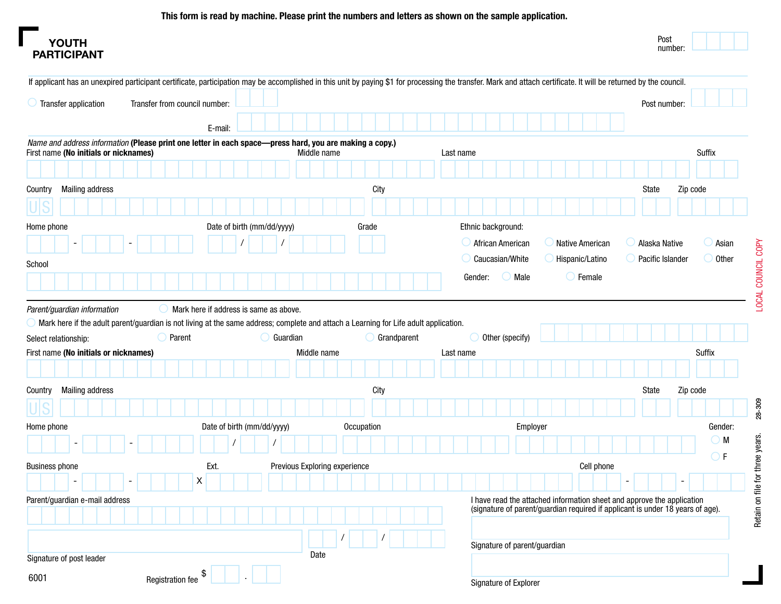## **Youth Participant**

|                                                               |                                                                                                         |                               |             | If applicant has an unexpired participant certificate, participation may be accomplished in this unit by paying \$1 for processing the transfer. Mark and attach certificate. It will be returned by the council. |                                                 |
|---------------------------------------------------------------|---------------------------------------------------------------------------------------------------------|-------------------------------|-------------|-------------------------------------------------------------------------------------------------------------------------------------------------------------------------------------------------------------------|-------------------------------------------------|
| $\bigcirc$ Transfer application                               | Transfer from council number:                                                                           |                               |             |                                                                                                                                                                                                                   | Post number:                                    |
|                                                               | E-mail:                                                                                                 |                               |             |                                                                                                                                                                                                                   |                                                 |
| First name (No initials or nicknames)                         | Name and address information (Please print one letter in each space-press hard, you are making a copy.) | Middle name                   |             | Last name                                                                                                                                                                                                         | Suffix                                          |
|                                                               |                                                                                                         |                               |             |                                                                                                                                                                                                                   |                                                 |
| <b>Mailing address</b><br>Country                             |                                                                                                         |                               | City        |                                                                                                                                                                                                                   | State<br>Zip code                               |
|                                                               |                                                                                                         |                               |             |                                                                                                                                                                                                                   |                                                 |
| Home phone                                                    | Date of birth (mm/dd/yyyy)                                                                              |                               | Grade       | Ethnic background:                                                                                                                                                                                                |                                                 |
|                                                               |                                                                                                         |                               |             | African American<br><b>Native American</b>                                                                                                                                                                        | Alaska Native<br>$\overline{\phantom{a}}$ Asian |
| School                                                        |                                                                                                         |                               |             | Caucasian/White<br><b>Hispanic/Latino</b>                                                                                                                                                                         | <b>O</b> Pacific Islander<br>$\bigcirc$ Other   |
|                                                               |                                                                                                         |                               |             | $\bigcirc$ Female<br>Male<br>Gender:                                                                                                                                                                              |                                                 |
| Select relationship:<br>First name (No initials or nicknames) | Parent                                                                                                  | Guardian<br>Middle name       | Grandparent | Other (specify)<br>Last name                                                                                                                                                                                      | Suffix                                          |
|                                                               |                                                                                                         |                               |             |                                                                                                                                                                                                                   |                                                 |
| <b>Mailing address</b><br>Country                             |                                                                                                         |                               | City        |                                                                                                                                                                                                                   | State<br>Zip code                               |
| UR                                                            |                                                                                                         |                               |             |                                                                                                                                                                                                                   |                                                 |
| Home phone                                                    | Date of birth (mm/dd/yyyy)                                                                              |                               | Occupation  | Employer                                                                                                                                                                                                          | Gender:                                         |
|                                                               |                                                                                                         |                               |             |                                                                                                                                                                                                                   | $\bigcirc$ M                                    |
| <b>Business phone</b>                                         | Ext.                                                                                                    | Previous Exploring experience |             | Cell phone                                                                                                                                                                                                        | OF                                              |
|                                                               |                                                                                                         |                               |             |                                                                                                                                                                                                                   |                                                 |
| Parent/guardian e-mail address                                |                                                                                                         |                               |             | I have read the attached information sheet and approve the application<br>(signature of parent/guardian required if applicant is under 18 years of age).                                                          |                                                 |
|                                                               |                                                                                                         |                               |             |                                                                                                                                                                                                                   |                                                 |
|                                                               |                                                                                                         |                               |             | Signature of parent/guardian                                                                                                                                                                                      |                                                 |
| Signature of post leader                                      |                                                                                                         | Date                          |             |                                                                                                                                                                                                                   |                                                 |
| 6001                                                          | <b>Registration fee</b>                                                                                 |                               |             | Signature of Explorer                                                                                                                                                                                             |                                                 |